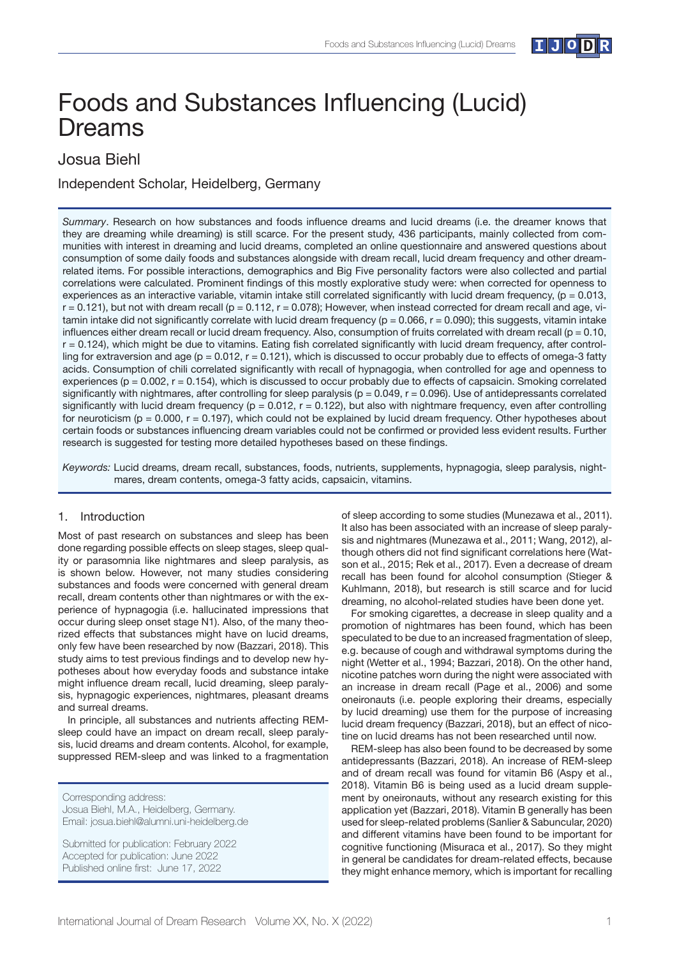

# Foods and Substances Influencing (Lucid) Dreams

# Josua Biehl

Independent Scholar, Heidelberg, Germany

*Summary*. Research on how substances and foods influence dreams and lucid dreams (i.e. the dreamer knows that they are dreaming while dreaming) is still scarce. For the present study, 436 participants, mainly collected from communities with interest in dreaming and lucid dreams, completed an online questionnaire and answered questions about consumption of some daily foods and substances alongside with dream recall, lucid dream frequency and other dreamrelated items. For possible interactions, demographics and Big Five personality factors were also collected and partial correlations were calculated. Prominent findings of this mostly explorative study were: when corrected for openness to experiences as an interactive variable, vitamin intake still correlated significantly with lucid dream frequency,  $(p = 0.013, p = 0.013)$  $r = 0.121$ , but not with dream recall ( $p = 0.112$ ,  $r = 0.078$ ); However, when instead corrected for dream recall and age, vitamin intake did not significantly correlate with lucid dream frequency ( $p = 0.066$ ,  $r = 0.090$ ); this suggests, vitamin intake influences either dream recall or lucid dream frequency. Also, consumption of fruits correlated with dream recall ( $p = 0.10$ ,  $r = 0.124$ ), which might be due to vitamins. Eating fish correlated significantly with lucid dream frequency, after controlling for extraversion and age ( $p = 0.012$ ,  $r = 0.121$ ), which is discussed to occur probably due to effects of omega-3 fatty acids. Consumption of chili correlated significantly with recall of hypnagogia, when controlled for age and openness to experiences ( $p = 0.002$ ,  $r = 0.154$ ), which is discussed to occur probably due to effects of capsaicin. Smoking correlated significantly with nightmares, after controlling for sleep paralysis ( $p = 0.049$ ,  $r = 0.096$ ). Use of antidepressants correlated significantly with lucid dream frequency ( $p = 0.012$ ,  $r = 0.122$ ), but also with nightmare frequency, even after controlling for neuroticism ( $p = 0.000$ ,  $r = 0.197$ ), which could not be explained by lucid dream frequency. Other hypotheses about certain foods or substances influencing dream variables could not be confirmed or provided less evident results. Further research is suggested for testing more detailed hypotheses based on these findings.

*Keywords:* Lucid dreams, dream recall, substances, foods, nutrients, supplements, hypnagogia, sleep paralysis, nightmares, dream contents, omega-3 fatty acids, capsaicin, vitamins.

# 1. Introduction

Most of past research on substances and sleep has been done regarding possible effects on sleep stages, sleep quality or parasomnia like nightmares and sleep paralysis, as is shown below. However, not many studies considering substances and foods were concerned with general dream recall, dream contents other than nightmares or with the experience of hypnagogia (i.e. hallucinated impressions that occur during sleep onset stage N1). Also, of the many theorized effects that substances might have on lucid dreams, only few have been researched by now (Bazzari, 2018). This study aims to test previous findings and to develop new hypotheses about how everyday foods and substance intake might influence dream recall, lucid dreaming, sleep paralysis, hypnagogic experiences, nightmares, pleasant dreams and surreal dreams.

In principle, all substances and nutrients affecting REMsleep could have an impact on dream recall, sleep paralysis, lucid dreams and dream contents. Alcohol, for example, suppressed REM-sleep and was linked to a fragmentation

Submitted for publication: February 2022 Accepted for publication: June 2022 Published online first: June 17, 2022

of sleep according to some studies (Munezawa et al., 2011). It also has been associated with an increase of sleep paralysis and nightmares (Munezawa et al., 2011; Wang, 2012), although others did not find significant correlations here (Watson et al., 2015; Rek et al., 2017). Even a decrease of dream recall has been found for alcohol consumption (Stieger & Kuhlmann, 2018), but research is still scarce and for lucid dreaming, no alcohol-related studies have been done yet.

For smoking cigarettes, a decrease in sleep quality and a promotion of nightmares has been found, which has been speculated to be due to an increased fragmentation of sleep, e.g. because of cough and withdrawal symptoms during the night (Wetter et al., 1994; Bazzari, 2018). On the other hand, nicotine patches worn during the night were associated with an increase in dream recall (Page et al., 2006) and some oneironauts (i.e. people exploring their dreams, especially by lucid dreaming) use them for the purpose of increasing lucid dream frequency (Bazzari, 2018), but an effect of nicotine on lucid dreams has not been researched until now.

REM-sleep has also been found to be decreased by some antidepressants (Bazzari, 2018). An increase of REM-sleep and of dream recall was found for vitamin B6 (Aspy et al., 2018). Vitamin B6 is being used as a lucid dream supplement by oneironauts, without any research existing for this application yet (Bazzari, 2018). Vitamin B generally has been used for sleep-related problems (Sanlier & Sabuncular, 2020) and different vitamins have been found to be important for cognitive functioning (Misuraca et al., 2017). So they might in general be candidates for dream-related effects, because they might enhance memory, which is important for recalling

Corresponding address: Josua Biehl, M.A., Heidelberg, Germany. Email: josua.biehl@alumni.uni-heidelberg.de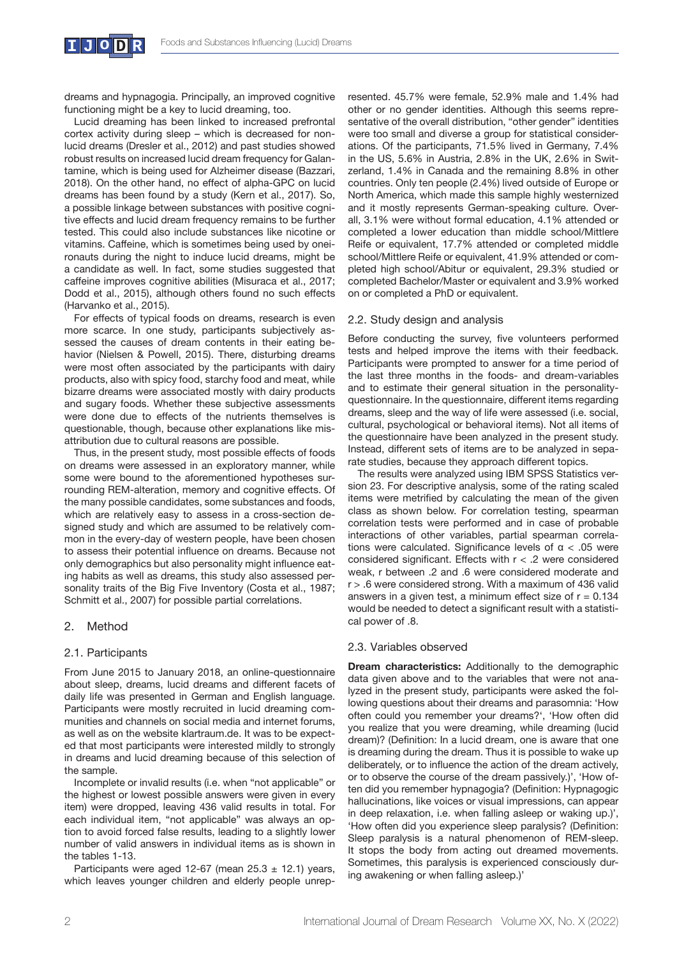dreams and hypnagogia. Principally, an improved cognitive functioning might be a key to lucid dreaming, too.

Lucid dreaming has been linked to increased prefrontal cortex activity during sleep – which is decreased for nonlucid dreams (Dresler et al., 2012) and past studies showed robust results on increased lucid dream frequency for Galantamine, which is being used for Alzheimer disease (Bazzari, 2018). On the other hand, no effect of alpha-GPC on lucid dreams has been found by a study (Kern et al., 2017). So, a possible linkage between substances with positive cognitive effects and lucid dream frequency remains to be further tested. This could also include substances like nicotine or vitamins. Caffeine, which is sometimes being used by oneironauts during the night to induce lucid dreams, might be a candidate as well. In fact, some studies suggested that caffeine improves cognitive abilities (Misuraca et al., 2017; Dodd et al., 2015), although others found no such effects (Harvanko et al., 2015).

For effects of typical foods on dreams, research is even more scarce. In one study, participants subjectively assessed the causes of dream contents in their eating behavior (Nielsen & Powell, 2015). There, disturbing dreams were most often associated by the participants with dairy products, also with spicy food, starchy food and meat, while bizarre dreams were associated mostly with dairy products and sugary foods. Whether these subjective assessments were done due to effects of the nutrients themselves is questionable, though, because other explanations like misattribution due to cultural reasons are possible.

Thus, in the present study, most possible effects of foods on dreams were assessed in an exploratory manner, while some were bound to the aforementioned hypotheses surrounding REM-alteration, memory and cognitive effects. Of the many possible candidates, some substances and foods, which are relatively easy to assess in a cross-section designed study and which are assumed to be relatively common in the every-day of western people, have been chosen to assess their potential influence on dreams. Because not only demographics but also personality might influence eating habits as well as dreams, this study also assessed personality traits of the Big Five Inventory (Costa et al., 1987; Schmitt et al., 2007) for possible partial correlations.

# 2. Method

# 2.1. Participants

From June 2015 to January 2018, an online-questionnaire about sleep, dreams, lucid dreams and different facets of daily life was presented in German and English language. Participants were mostly recruited in lucid dreaming communities and channels on social media and internet forums, as well as on the website klartraum.de. It was to be expected that most participants were interested mildly to strongly in dreams and lucid dreaming because of this selection of the sample.

Incomplete or invalid results (i.e. when "not applicable" or the highest or lowest possible answers were given in every item) were dropped, leaving 436 valid results in total. For each individual item, "not applicable" was always an option to avoid forced false results, leading to a slightly lower number of valid answers in individual items as is shown in the tables 1-13.

Participants were aged 12-67 (mean  $25.3 \pm 12.1$ ) years, which leaves younger children and elderly people unrepresented. 45.7% were female, 52.9% male and 1.4% had other or no gender identities. Although this seems representative of the overall distribution, "other gender" identities were too small and diverse a group for statistical considerations. Of the participants, 71.5% lived in Germany, 7.4% in the US, 5.6% in Austria, 2.8% in the UK, 2.6% in Switzerland, 1.4% in Canada and the remaining 8.8% in other countries. Only ten people (2.4%) lived outside of Europe or North America, which made this sample highly westernized and it mostly represents German-speaking culture. Overall, 3.1% were without formal education, 4.1% attended or completed a lower education than middle school/Mittlere Reife or equivalent, 17.7% attended or completed middle school/Mittlere Reife or equivalent, 41.9% attended or completed high school/Abitur or equivalent, 29.3% studied or completed Bachelor/Master or equivalent and 3.9% worked on or completed a PhD or equivalent.

#### 2.2. Study design and analysis

Before conducting the survey, five volunteers performed tests and helped improve the items with their feedback. Participants were prompted to answer for a time period of the last three months in the foods- and dream-variables and to estimate their general situation in the personalityquestionnaire. In the questionnaire, different items regarding dreams, sleep and the way of life were assessed (i.e. social, cultural, psychological or behavioral items). Not all items of the questionnaire have been analyzed in the present study. Instead, different sets of items are to be analyzed in separate studies, because they approach different topics.

The results were analyzed using IBM SPSS Statistics version 23. For descriptive analysis, some of the rating scaled items were metrified by calculating the mean of the given class as shown below. For correlation testing, spearman correlation tests were performed and in case of probable interactions of other variables, partial spearman correlations were calculated. Significance levels of  $α < .05$  were considered significant. Effects with  $r < .2$  were considered weak, r between .2 and .6 were considered moderate and r > .6 were considered strong. With a maximum of 436 valid answers in a given test, a minimum effect size of  $r = 0.134$ would be needed to detect a significant result with a statistical power of .8.

# 2.3. Variables observed

**Dream characteristics:** Additionally to the demographic data given above and to the variables that were not analyzed in the present study, participants were asked the following questions about their dreams and parasomnia: 'How often could you remember your dreams?', 'How often did you realize that you were dreaming, while dreaming (lucid dream)? (Definition: In a lucid dream, one is aware that one is dreaming during the dream. Thus it is possible to wake up deliberately, or to influence the action of the dream actively, or to observe the course of the dream passively.)', 'How often did you remember hypnagogia? (Definition: Hypnagogic hallucinations, like voices or visual impressions, can appear in deep relaxation, i.e. when falling asleep or waking up.)', 'How often did you experience sleep paralysis? (Definition: Sleep paralysis is a natural phenomenon of REM-sleep. It stops the body from acting out dreamed movements. Sometimes, this paralysis is experienced consciously during awakening or when falling asleep.)'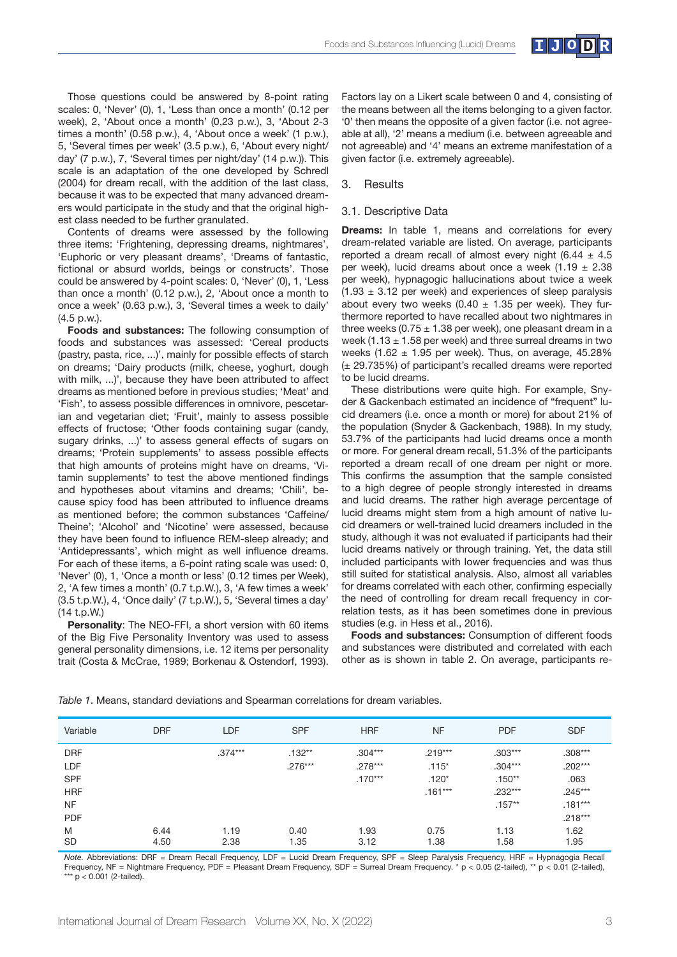

Those questions could be answered by 8-point rating scales: 0, 'Never' (0), 1, 'Less than once a month' (0.12 per week), 2, 'About once a month' (0,23 p.w.), 3, 'About 2-3 times a month' (0.58 p.w.), 4, 'About once a week' (1 p.w.), 5, 'Several times per week' (3.5 p.w.), 6, 'About every night/ day' (7 p.w.), 7, 'Several times per night/day' (14 p.w.)). This scale is an adaptation of the one developed by Schredl (2004) for dream recall, with the addition of the last class, because it was to be expected that many advanced dreamers would participate in the study and that the original highest class needed to be further granulated.

Contents of dreams were assessed by the following three items: 'Frightening, depressing dreams, nightmares', 'Euphoric or very pleasant dreams', 'Dreams of fantastic, fictional or absurd worlds, beings or constructs'. Those could be answered by 4-point scales: 0, 'Never' (0), 1, 'Less than once a month' (0.12 p.w.), 2, 'About once a month to once a week' (0.63 p.w.), 3, 'Several times a week to daily' (4.5 p.w.).

**Foods and substances:** The following consumption of foods and substances was assessed: 'Cereal products (pastry, pasta, rice, ...)', mainly for possible effects of starch on dreams; 'Dairy products (milk, cheese, yoghurt, dough with milk, ...)', because they have been attributed to affect dreams as mentioned before in previous studies; 'Meat' and 'Fish', to assess possible differences in omnivore, pescetarian and vegetarian diet; 'Fruit', mainly to assess possible effects of fructose; 'Other foods containing sugar (candy, sugary drinks, ...)' to assess general effects of sugars on dreams; 'Protein supplements' to assess possible effects that high amounts of proteins might have on dreams, 'Vitamin supplements' to test the above mentioned findings and hypotheses about vitamins and dreams; 'Chili', because spicy food has been attributed to influence dreams as mentioned before; the common substances 'Caffeine/ Theine'; 'Alcohol' and 'Nicotine' were assessed, because they have been found to influence REM-sleep already; and 'Antidepressants', which might as well influence dreams. For each of these items, a 6-point rating scale was used: 0, 'Never' (0), 1, 'Once a month or less' (0.12 times per Week), 2, 'A few times a month' (0.7 t.p.W.), 3, 'A few times a week' (3.5 t.p.W.), 4, 'Once daily' (7 t.p.W.), 5, 'Several times a day' (14 t.p.W.)

**Personality**: The NEO-FFI, a short version with 60 items of the Big Five Personality Inventory was used to assess general personality dimensions, i.e. 12 items per personality trait (Costa & McCrae, 1989; Borkenau & Ostendorf, 1993). Factors lay on a Likert scale between 0 and 4, consisting of the means between all the items belonging to a given factor. '0' then means the opposite of a given factor (i.e. not agreeable at all), '2' means a medium (i.e. between agreeable and not agreeable) and '4' means an extreme manifestation of a given factor (i.e. extremely agreeable).

#### 3. Results

#### 3.1. Descriptive Data

**Dreams:** In table 1, means and correlations for every dream-related variable are listed. On average, participants reported a dream recall of almost every night  $(6.44 \pm 4.5$ per week), lucid dreams about once a week  $(1.19 \pm 2.38)$ per week), hypnagogic hallucinations about twice a week  $(1.93 \pm 3.12)$  per week) and experiences of sleep paralysis about every two weeks (0.40  $\pm$  1.35 per week). They furthermore reported to have recalled about two nightmares in three weeks (0.75  $\pm$  1.38 per week), one pleasant dream in a week (1.13  $\pm$  1.58 per week) and three surreal dreams in two weeks (1.62  $\pm$  1.95 per week). Thus, on average, 45.28% (± 29.735%) of participant's recalled dreams were reported to be lucid dreams.

These distributions were quite high. For example, Snyder & Gackenbach estimated an incidence of "frequent" lucid dreamers (i.e. once a month or more) for about 21% of the population (Snyder & Gackenbach, 1988). In my study, 53.7% of the participants had lucid dreams once a month or more. For general dream recall, 51.3% of the participants reported a dream recall of one dream per night or more. This confirms the assumption that the sample consisted to a high degree of people strongly interested in dreams and lucid dreams. The rather high average percentage of lucid dreams might stem from a high amount of native lucid dreamers or well-trained lucid dreamers included in the study, although it was not evaluated if participants had their lucid dreams natively or through training. Yet, the data still included participants with lower frequencies and was thus still suited for statistical analysis. Also, almost all variables for dreams correlated with each other, confirming especially the need of controlling for dream recall frequency in correlation tests, as it has been sometimes done in previous studies (e.g. in Hess et al., 2016).

**Foods and substances:** Consumption of different foods and substances were distributed and correlated with each other as is shown in table 2. On average, participants re-

| Variable                              | <b>DRF</b>   | LDF          | <b>SPF</b>            | <b>HRF</b>                          | <b>NF</b>                       | <b>PDF</b>                         | <b>SDF</b>                          |
|---------------------------------------|--------------|--------------|-----------------------|-------------------------------------|---------------------------------|------------------------------------|-------------------------------------|
| <b>DRF</b><br>LDF<br><b>SPF</b>       |              | $.374***$    | $.132**$<br>$.276***$ | $.304***$<br>$.278***$<br>$.170***$ | $.219***$<br>$.115*$<br>$.120*$ | $.303***$<br>$.304***$<br>$.150**$ | $.308***$<br>$.202***$<br>.063      |
| <b>HRF</b><br><b>NF</b><br><b>PDF</b> |              |              |                       |                                     | $.161***$                       | $.232***$<br>$.157**$              | $.245***$<br>$.181***$<br>$.218***$ |
| M<br><b>SD</b>                        | 6.44<br>4.50 | 1.19<br>2.38 | 0.40<br>1.35          | 1.93<br>3.12                        | 0.75<br>1.38                    | 1.13<br>1.58                       | 1.62<br>1.95                        |

*Table 1*. Means, standard deviations and Spearman correlations for dream variables.

*Note.* Abbreviations: DRF = Dream Recall Frequency, LDF = Lucid Dream Frequency, SPF = Sleep Paralysis Frequency, HRF = Hypnagogia Recall Frequency, NF = Nightmare Frequency, PDF = Pleasant Dream Frequency, SDF = Surreal Dream Frequency. \* p < 0.05 (2-tailed), \*\* p < 0.01 (2-tailed), \*\*\*  $p < 0.001$  (2-tailed).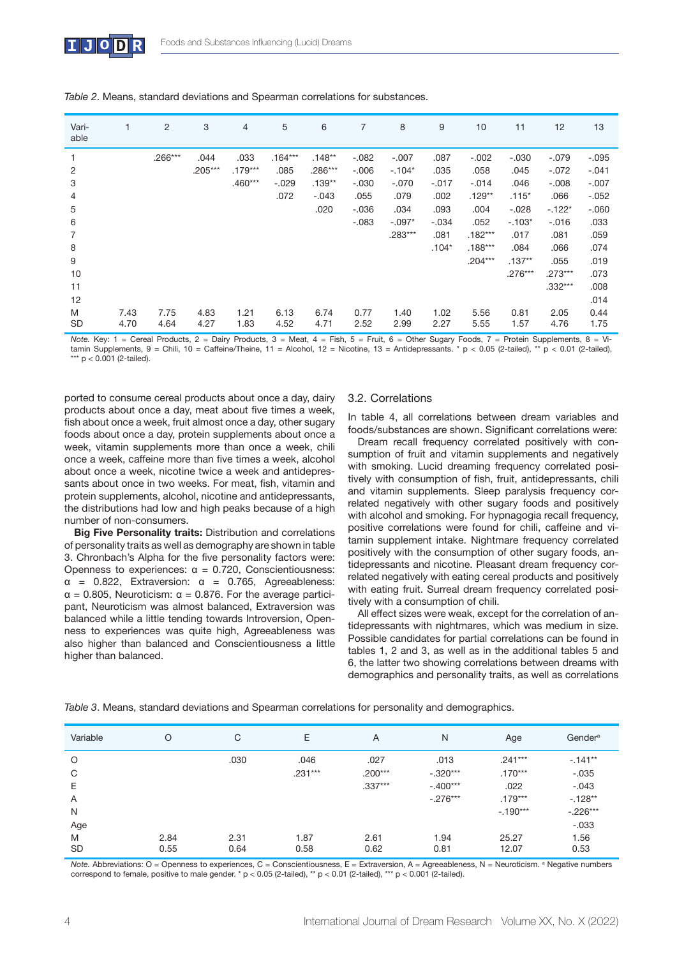| Vari-<br>able |      | 2         | 3         | $\overline{4}$ | 5         | 6         | 7        | 8         | 9       | 10        | 11        | 12        | 13      |
|---------------|------|-----------|-----------|----------------|-----------|-----------|----------|-----------|---------|-----------|-----------|-----------|---------|
| 1             |      | $.266***$ | .044      | .033           | $.164***$ | $.148**$  | $-.082$  | $-.007$   | .087    | $-.002$   | $-.030$   | $-.079$   | $-.095$ |
| 2             |      |           | $.205***$ | $.179***$      | .085      | $.286***$ | $-0.006$ | $-.104*$  | .035    | .058      | .045      | $-.072$   | $-.041$ |
| 3             |      |           |           | $.460***$      | $-.029$   | $.139**$  | $-.030$  | $-.070$   | $-.017$ | $-.014$   | .046      | $-.008$   | $-.007$ |
| 4             |      |           |           |                | .072      | $-.043$   | .055     | .079      | .002    | $.129**$  | $.115*$   | .066      | $-.052$ |
| 5             |      |           |           |                |           | .020      | $-.036$  | .034      | .093    | .004      | $-.028$   | $-.122*$  | $-.060$ |
| 6             |      |           |           |                |           |           | $-.083$  | $-.097*$  | $-.034$ | .052      | $-.103*$  | $-0.016$  | .033    |
| 7             |      |           |           |                |           |           |          | $.283***$ | .081    | $.182***$ | .017      | .081      | .059    |
| 8             |      |           |           |                |           |           |          |           | $.104*$ | $.188***$ | .084      | .066      | .074    |
| 9             |      |           |           |                |           |           |          |           |         | $.204***$ | $.137**$  | .055      | .019    |
| 10            |      |           |           |                |           |           |          |           |         |           | $.276***$ | $.273***$ | .073    |
| 11            |      |           |           |                |           |           |          |           |         |           |           | $.332***$ | .008    |
| 12            |      |           |           |                |           |           |          |           |         |           |           |           | .014    |
| M             | 7.43 | 7.75      | 4.83      | 1.21           | 6.13      | 6.74      | 0.77     | 1.40      | 1.02    | 5.56      | 0.81      | 2.05      | 0.44    |
| <b>SD</b>     | 4.70 | 4.64      | 4.27      | 1.83           | 4.52      | 4.71      | 2.52     | 2.99      | 2.27    | 5.55      | 1.57      | 4.76      | 1.75    |

| Table 2. Means, standard deviations and Spearman correlations for substances. |  |
|-------------------------------------------------------------------------------|--|
|-------------------------------------------------------------------------------|--|

*Note.* Key: 1 = Cereal Products, 2 = Dairy Products, 3 = Meat, 4 = Fish, 5 = Fruit, 6 = Other Sugary Foods, 7 = Protein Supplements, 8 = Vitamin Supplements, 9 = Chili, 10 = Caffeine/Theine, 11 = Alcohol, 12 = Nicotine, 13 = Antidepressants. \* p < 0.05 (2-tailed), \*\* p < 0.01 (2-tailed),  $**$  p < 0.001 (2-tailed).

ported to consume cereal products about once a day, dairy products about once a day, meat about five times a week, fish about once a week, fruit almost once a day, other sugary foods about once a day, protein supplements about once a week, vitamin supplements more than once a week, chili once a week, caffeine more than five times a week, alcohol about once a week, nicotine twice a week and antidepressants about once in two weeks. For meat, fish, vitamin and protein supplements, alcohol, nicotine and antidepressants, the distributions had low and high peaks because of a high number of non-consumers.

**Big Five Personality traits:** Distribution and correlations of personality traits as well as demography are shown in table 3. Chronbach's Alpha for the five personality factors were: Openness to experiences: α = 0.720, Conscientiousness:  $\alpha$  = 0.822, Extraversion:  $\alpha$  = 0.765, Agreeableness:  $\alpha$  = 0.805, Neuroticism:  $\alpha$  = 0.876. For the average participant, Neuroticism was almost balanced, Extraversion was balanced while a little tending towards Introversion, Openness to experiences was quite high, Agreeableness was also higher than balanced and Conscientiousness a little higher than balanced.

# 3.2. Correlations

In table 4, all correlations between dream variables and foods/substances are shown. Significant correlations were:

Dream recall frequency correlated positively with consumption of fruit and vitamin supplements and negatively with smoking. Lucid dreaming frequency correlated positively with consumption of fish, fruit, antidepressants, chili and vitamin supplements. Sleep paralysis frequency correlated negatively with other sugary foods and positively with alcohol and smoking. For hypnagogia recall frequency, positive correlations were found for chili, caffeine and vitamin supplement intake. Nightmare frequency correlated positively with the consumption of other sugary foods, antidepressants and nicotine. Pleasant dream frequency correlated negatively with eating cereal products and positively with eating fruit. Surreal dream frequency correlated positively with a consumption of chili.

All effect sizes were weak, except for the correlation of antidepressants with nightmares, which was medium in size. Possible candidates for partial correlations can be found in tables 1, 2 and 3, as well as in the additional tables 5 and 6, the latter two showing correlations between dreams with demographics and personality traits, as well as correlations

Variable O C E A N Age Gendera O .030 .046 .027 .013 .241\*\*\* -.141\*\*  $C$  .231\*\*\* .200\*\*\* .200\*\*\* .320\*\*\* .170\*\*\* .170\*\*\* .035 E .337\*\*\* -.400\*\*\* .022 -.043 A  $-0.276***$  .  $179***$   $-128**$ N  $-.190***$  -.226\*\*\* Age -.033 M SD 2.84 0.55 2.31 0.64 1.87 0.58 2.61 0.62 1.94 0.81 25.27 12.07 1.56 0.53

*Table 3*. Means, standard deviations and Spearman correlations for personality and demographics.

Note. Abbreviations: O = Openness to experiences, C = Conscientiousness, E = Extraversion, A = Agreeableness, N = Neuroticism. <sup>a</sup> Negative numbers correspond to female, positive to male gender. \*  $p < 0.05$  (2-tailed), \*\*  $p < 0.01$  (2-tailed), \*\*\*  $p < 0.001$  (2-tailed).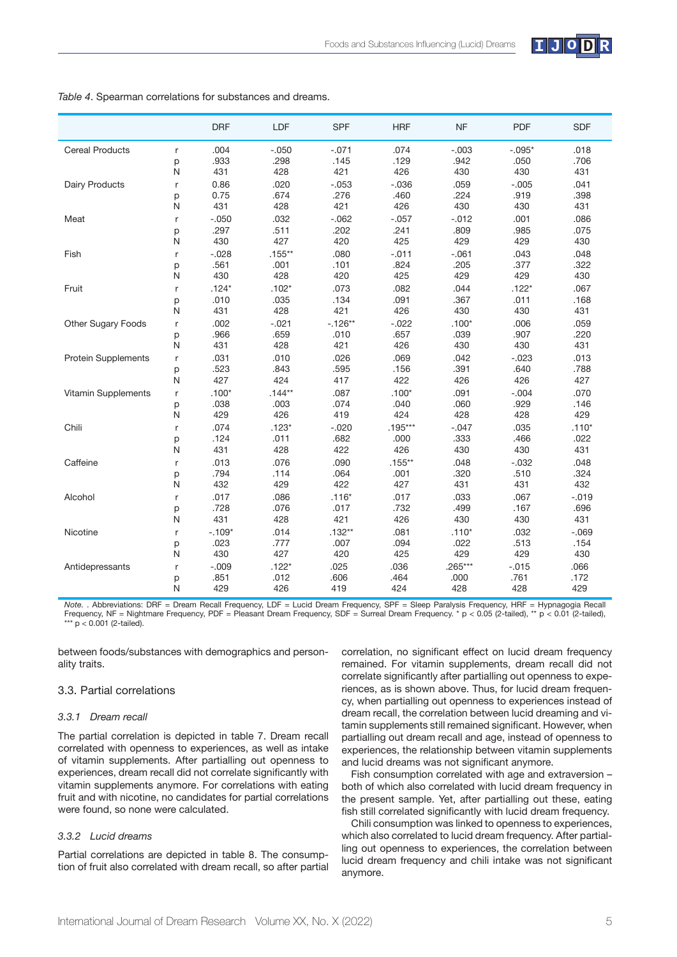

|                            |        | <b>DRF</b>       | LDF             | <b>SPF</b>   | <b>HRF</b>   | <b>NF</b>       | <b>PDF</b>      | <b>SDF</b>      |
|----------------------------|--------|------------------|-----------------|--------------|--------------|-----------------|-----------------|-----------------|
| <b>Cereal Products</b>     | r      | .004             | $-.050$         | $-.071$      | .074         | $-.003$         | $-.095*$        | .018            |
|                            | p      | .933             | .298            | .145         | .129         | .942            | .050            | .706            |
|                            | N      | 431              | 428             | 421          | 426          | 430             | 430             | 431             |
| <b>Dairy Products</b>      | r      | 0.86             | .020            | $-.053$      | $-.036$      | .059            | $-.005$         | .041            |
|                            | p      | 0.75             | .674            | .276         | .460         | .224            | .919            | .398            |
|                            | N      | 431              | 428             | 421          | 426          | 430             | 430             | 431             |
| Meat                       | r      | $-.050$          | .032            | $-062$       | $-.057$      | $-0.012$        | .001            | .086            |
|                            | p      | .297             | .511            | .202         | .241         | .809            | .985            | .075            |
|                            | N      | 430              | 427             | 420          | 425          | 429             | 429             | 430             |
| Fish                       | r      | $-.028$          | $.155***$       | .080         | $-.011$      | $-.061$         | .043            | .048            |
|                            | p      | .561             | .001            | .101         | .824         | .205            | .377            | .322            |
|                            | N      | 430              | 428             | 420          | 425          | 429             | 429             | 430             |
| Fruit                      | r      | $.124*$          | $.102*$         | .073         | .082         | .044            | $.122*$         | .067            |
|                            | p      | .010             | .035            | .134         | .091         | .367            | .011            | .168            |
|                            | N      | 431              | 428             | 421          | 426          | 430             | 430             | 431             |
| <b>Other Sugary Foods</b>  | r      | .002             | $-.021$         | $-.126**$    | $-.022$      | $.100*$         | .006            | .059            |
|                            | p      | .966             | .659            | .010         | .657         | .039            | .907            | .220            |
|                            | N      | 431              | 428             | 421          | 426          | 430             | 430             | 431             |
| <b>Protein Supplements</b> | r      | .031             | .010            | .026         | .069         | .042            | $-.023$         | .013            |
|                            | p      | .523             | .843            | .595         | .156         | .391            | .640            | .788            |
|                            | N      | 427              | 424             | 417          | 422          | 426             | 426             | 427             |
| Vitamin Supplements        | r      | $.100*$          | $.144**$        | .087         | $.100*$      | .091            | $-.004$         | .070            |
|                            | p      | .038             | .003            | .074         | .040         | .060            | .929            | .146            |
|                            | N      | 429              | 426             | 419          | 424          | 428             | 428             | 429             |
| Chili                      | r      | .074             | $.123*$         | $-.020$      | $.195***$    | $-.047$         | .035            | $.110*$         |
|                            | p      | .124             | .011            | .682         | .000         | .333            | .466            | .022            |
|                            | N      | 431              | 428             | 422          | 426          | 430             | 430             | 431             |
| Caffeine                   | r      | .013             | .076            | .090         | $.155***$    | .048            | $-.032$         | .048            |
|                            | p<br>N | .794<br>432      | .114<br>429     | .064<br>422  | .001<br>427  | .320<br>431     | .510<br>431     | .324<br>432     |
|                            |        |                  |                 |              |              |                 |                 |                 |
| Alcohol                    | r      | .017             | .086            | $.116*$      | .017         | .033            | .067            | $-.019$         |
|                            | p<br>N | .728<br>431      | .076<br>428     | .017<br>421  | .732<br>426  | .499<br>430     | .167<br>430     | .696<br>431     |
|                            |        |                  |                 |              |              |                 |                 |                 |
| Nicotine                   | r      | $-.109*$<br>.023 | .014<br>.777    | $.132**$     | .081<br>.094 | $.110*$<br>.022 | .032<br>.513    | $-.069$<br>.154 |
|                            | p<br>N | 430              | 427             | .007<br>420  | 425          | 429             | 429             | 430             |
|                            |        |                  |                 |              |              |                 |                 |                 |
| Antidepressants            | r      | $-.009$<br>.851  | $.122*$<br>.012 | .025<br>.606 | .036<br>.464 | .265***<br>.000 | $-.015$<br>.761 | .066<br>.172    |
|                            | p<br>N | 429              | 426             | 419          | 424          | 428             | 428             | 429             |
|                            |        |                  |                 |              |              |                 |                 |                 |

*Table 4*. Spearman correlations for substances and dreams.

*Note.* . Abbreviations: DRF = Dream Recall Frequency, LDF = Lucid Dream Frequency, SPF = Sleep Paralysis Frequency, HRF = Hypnagogia Recall Frequency, NF = Nightmare Frequency, PDF = Pleasant Dream Frequency, SDF = Surreal Dream Frequency. \* p < 0.05 (2-tailed), \*\* p < 0.01 (2-tailed), \*\*\*  $p < 0.001$  (2-tailed).

between foods/substances with demographics and personality traits.

# 3.3. Partial correlations

#### *3.3.1 Dream recall*

The partial correlation is depicted in table 7. Dream recall correlated with openness to experiences, as well as intake of vitamin supplements. After partialling out openness to experiences, dream recall did not correlate significantly with vitamin supplements anymore. For correlations with eating fruit and with nicotine, no candidates for partial correlations were found, so none were calculated.

# *3.3.2 Lucid dreams*

Partial correlations are depicted in table 8. The consumption of fruit also correlated with dream recall, so after partial correlation, no significant effect on lucid dream frequency remained. For vitamin supplements, dream recall did not correlate significantly after partialling out openness to experiences, as is shown above. Thus, for lucid dream frequency, when partialling out openness to experiences instead of dream recall, the correlation between lucid dreaming and vitamin supplements still remained significant. However, when partialling out dream recall and age, instead of openness to experiences, the relationship between vitamin supplements and lucid dreams was not significant anymore.

Fish consumption correlated with age and extraversion – both of which also correlated with lucid dream frequency in the present sample. Yet, after partialling out these, eating fish still correlated significantly with lucid dream frequency.

Chili consumption was linked to openness to experiences, which also correlated to lucid dream frequency. After partialling out openness to experiences, the correlation between lucid dream frequency and chili intake was not significant anymore.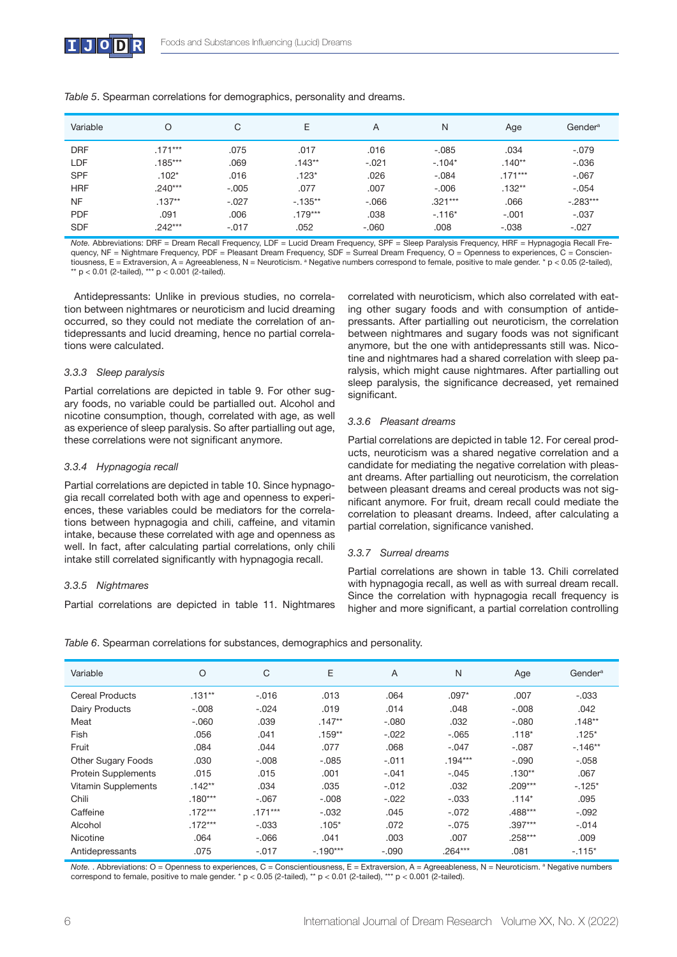

| Variable   |           | C       | Е         | A        | N         | Age       | Gender <sup>a</sup> |
|------------|-----------|---------|-----------|----------|-----------|-----------|---------------------|
| <b>DRF</b> | $.171***$ | .075    | .017      | .016     | $-.085$   | .034      | $-.079$             |
| LDF        | $.185***$ | .069    | $.143**$  | $-.021$  | $-.104*$  | $.140**$  | $-.036$             |
| <b>SPF</b> | $.102*$   | .016    | $.123*$   | .026     | $-.084$   | $.171***$ | $-.067$             |
| <b>HRF</b> | $.240***$ | $-.005$ | .077      | .007     | $-.006$   | $.132**$  | $-.054$             |
| <b>NF</b>  | $.137**$  | $-.027$ | $-135**$  | $-0.066$ | $.321***$ | .066      | $-.283***$          |
| <b>PDF</b> | .091      | .006    | $.179***$ | .038     | $-.116*$  | $-.001$   | $-.037$             |
| <b>SDF</b> | $.242***$ | $-.017$ | .052      | $-.060$  | .008      | $-.038$   | $-.027$             |

*Table 5*. Spearman correlations for demographics, personality and dreams.

*Note.* Abbreviations: DRF = Dream Recall Frequency, LDF = Lucid Dream Frequency, SPF = Sleep Paralysis Frequency, HRF = Hypnagogia Recall Frequency, NF = Nightmare Frequency, PDF = Pleasant Dream Frequency, SDF = Surreal Dream Frequency, O = Openness to experiences, C = Conscientiousness, E = Extraversion, A = Agreeableness, N = Neuroticism. <sup>a</sup> Negative numbers correspond to female, positive to male gender. \* p < 0.05 (2-tailed),  $*$  p < 0.01 (2-tailed),  $***$  p < 0.001 (2-tailed).

Antidepressants: Unlike in previous studies, no correlation between nightmares or neuroticism and lucid dreaming occurred, so they could not mediate the correlation of antidepressants and lucid dreaming, hence no partial correlations were calculated.

#### *3.3.3 Sleep paralysis*

Partial correlations are depicted in table 9. For other sugary foods, no variable could be partialled out. Alcohol and nicotine consumption, though, correlated with age, as well as experience of sleep paralysis. So after partialling out age, these correlations were not significant anymore.

#### *3.3.4 Hypnagogia recall*

Partial correlations are depicted in table 10. Since hypnagogia recall correlated both with age and openness to experiences, these variables could be mediators for the correlations between hypnagogia and chili, caffeine, and vitamin intake, because these correlated with age and openness as well. In fact, after calculating partial correlations, only chili intake still correlated significantly with hypnagogia recall.

#### *3.3.5 Nightmares*

Partial correlations are depicted in table 11. Nightmares

correlated with neuroticism, which also correlated with eating other sugary foods and with consumption of antidepressants. After partialling out neuroticism, the correlation between nightmares and sugary foods was not significant anymore, but the one with antidepressants still was. Nicotine and nightmares had a shared correlation with sleep paralysis, which might cause nightmares. After partialling out sleep paralysis, the significance decreased, yet remained significant.

#### *3.3.6 Pleasant dreams*

Partial correlations are depicted in table 12. For cereal products, neuroticism was a shared negative correlation and a candidate for mediating the negative correlation with pleasant dreams. After partialling out neuroticism, the correlation between pleasant dreams and cereal products was not significant anymore. For fruit, dream recall could mediate the correlation to pleasant dreams. Indeed, after calculating a partial correlation, significance vanished.

# *3.3.7 Surreal dreams*

Partial correlations are shown in table 13. Chili correlated with hypnagogia recall, as well as with surreal dream recall. Since the correlation with hypnagogia recall frequency is higher and more significant, a partial correlation controlling

| Variable                   | O         | C         | E          | A       | N         | Age       | Gender <sup>a</sup> |
|----------------------------|-----------|-----------|------------|---------|-----------|-----------|---------------------|
| <b>Cereal Products</b>     | $.131**$  | $-.016$   | .013       | .064    | $.097*$   | .007      | $-.033$             |
| <b>Dairy Products</b>      | $-.008$   | $-.024$   | .019       | .014    | .048      | $-.008$   | .042                |
| Meat                       | $-.060$   | .039      | $.147**$   | $-.080$ | .032      | $-.080$   | $.148**$            |
| Fish                       | .056      | .041      | $.159**$   | $-.022$ | $-.065$   | $.118*$   | $.125*$             |
| Fruit                      | .084      | .044      | .077       | .068    | $-.047$   | $-.087$   | $-.146**$           |
| Other Sugary Foods         | .030      | $-.008$   | $-.085$    | $-.011$ | $.194***$ | $-.090$   | $-.058$             |
| <b>Protein Supplements</b> | .015      | .015      | .001       | $-.041$ | $-.045$   | $.130**$  | .067                |
| Vitamin Supplements        | $.142**$  | .034      | .035       | $-.012$ | .032      | $.209***$ | $-.125*$            |
| Chili                      | $.180***$ | $-.067$   | $-.008$    | $-.022$ | $-.033$   | $.114*$   | .095                |
| Caffeine                   | $.172***$ | $.171***$ | $-.032$    | .045    | $-.072$   | $.488***$ | $-.092$             |
| Alcohol                    | $.172***$ | $-.033$   | $.105*$    | .072    | $-.075$   | $.397***$ | $-.014$             |
| Nicotine                   | .064      | $-0.066$  | .041       | .003    | .007      | $.258***$ | .009                |
| Antidepressants            | .075      | $-.017$   | $-.190***$ | $-.090$ | $.264***$ | .081      | $-.115*$            |

*Table 6*. Spearman correlations for substances, demographics and personality.

Note. . Abbreviations: O = Openness to experiences, C = Conscientiousness, E = Extraversion, A = Agreeableness, N = Neuroticism. <sup>a</sup> Negative numbers correspond to female, positive to male gender. \* p < 0.05 (2-tailed), \*\* p < 0.01 (2-tailed), \*\*\* p < 0.001 (2-tailed).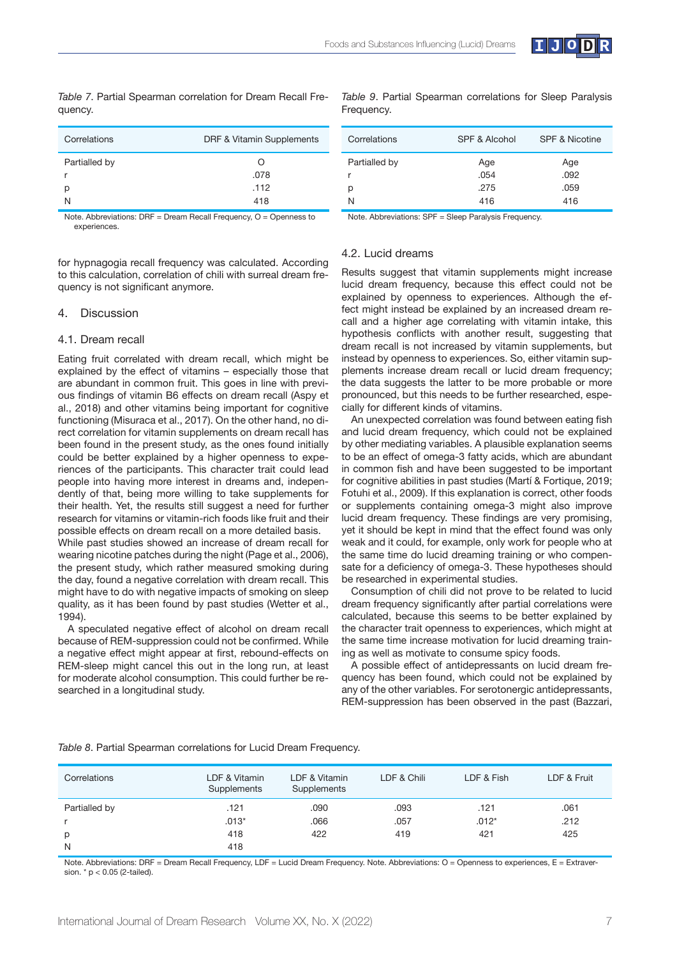

| Correlations            | DRF & Vitamin Supplements |
|-------------------------|---------------------------|
| Partialled by<br>р<br>N | O<br>.078<br>.112<br>418  |

*Table 7*. Partial Spearman correlation for Dream Recall Frequency.

*Table 9*. Partial Spearman correlations for Sleep Paralysis Frequency.

| Correlations  | <b>SPF &amp; Alcohol</b> | <b>SPF &amp; Nicotine</b> |
|---------------|--------------------------|---------------------------|
| Partialled by | Age                      | Age                       |
|               | .054                     | .092                      |
| р             | .275                     | .059                      |
| N             | 416                      | 416                       |
| .<br>$- -$    | $-1$<br>_ _ _ _          |                           |

Note. Abbreviations: DRF = Dream Recall Frequency, O = Openness to experiences.

for hypnagogia recall frequency was calculated. According to this calculation, correlation of chili with surreal dream frequency is not significant anymore.

## 4. Discussion

#### 4.1. Dream recall

Eating fruit correlated with dream recall, which might be explained by the effect of vitamins – especially those that are abundant in common fruit. This goes in line with previous findings of vitamin B6 effects on dream recall (Aspy et al., 2018) and other vitamins being important for cognitive functioning (Misuraca et al., 2017). On the other hand, no direct correlation for vitamin supplements on dream recall has been found in the present study, as the ones found initially could be better explained by a higher openness to experiences of the participants. This character trait could lead people into having more interest in dreams and, independently of that, being more willing to take supplements for their health. Yet, the results still suggest a need for further research for vitamins or vitamin-rich foods like fruit and their possible effects on dream recall on a more detailed basis.

While past studies showed an increase of dream recall for wearing nicotine patches during the night (Page et al., 2006), the present study, which rather measured smoking during the day, found a negative correlation with dream recall. This might have to do with negative impacts of smoking on sleep quality, as it has been found by past studies (Wetter et al., 1994).

A speculated negative effect of alcohol on dream recall because of REM-suppression could not be confirmed. While a negative effect might appear at first, rebound-effects on REM-sleep might cancel this out in the long run, at least for moderate alcohol consumption. This could further be researched in a longitudinal study.

Note. Abbreviations: SPF = Sleep Paralysis Frequency.

#### 4.2. Lucid dreams

Results suggest that vitamin supplements might increase lucid dream frequency, because this effect could not be explained by openness to experiences. Although the effect might instead be explained by an increased dream recall and a higher age correlating with vitamin intake, this hypothesis conflicts with another result, suggesting that dream recall is not increased by vitamin supplements, but instead by openness to experiences. So, either vitamin supplements increase dream recall or lucid dream frequency; the data suggests the latter to be more probable or more pronounced, but this needs to be further researched, especially for different kinds of vitamins.

An unexpected correlation was found between eating fish and lucid dream frequency, which could not be explained by other mediating variables. A plausible explanation seems to be an effect of omega-3 fatty acids, which are abundant in common fish and have been suggested to be important for cognitive abilities in past studies (Martí & Fortique, 2019; Fotuhi et al., 2009). If this explanation is correct, other foods or supplements containing omega-3 might also improve lucid dream frequency. These findings are very promising, yet it should be kept in mind that the effect found was only weak and it could, for example, only work for people who at the same time do lucid dreaming training or who compensate for a deficiency of omega-3. These hypotheses should be researched in experimental studies.

Consumption of chili did not prove to be related to lucid dream frequency significantly after partial correlations were calculated, because this seems to be better explained by the character trait openness to experiences, which might at the same time increase motivation for lucid dreaming training as well as motivate to consume spicy foods.

A possible effect of antidepressants on lucid dream frequency has been found, which could not be explained by any of the other variables. For serotonergic antidepressants, REM-suppression has been observed in the past (Bazzari,

*Table 8*. Partial Spearman correlations for Lucid Dream Frequency.

| Correlations  | LDF & Vitamin<br>Supplements | LDF & Vitamin<br>Supplements | LDF & Chili | LDF & Fish | LDF & Fruit |
|---------------|------------------------------|------------------------------|-------------|------------|-------------|
| Partialled by | .121                         | .090                         | .093        | .121       | .061        |
|               | $.013*$                      | .066                         | .057        | $.012*$    | .212        |
| р             | 418                          | 422                          | 419         | 421        | 425         |
| N             | 418                          |                              |             |            |             |

Note. Abbreviations: DRF = Dream Recall Frequency, LDF = Lucid Dream Frequency. Note. Abbreviations: O = Openness to experiences, E = Extraversion. \* p < 0.05 (2-tailed).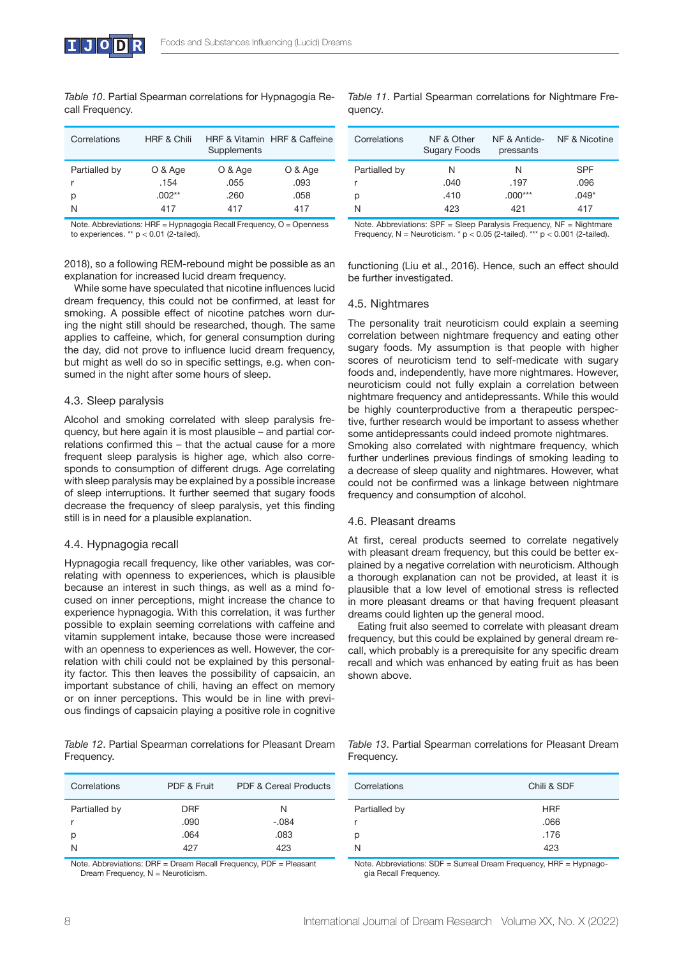*Table 10*. Partial Spearman correlations for Hypnagogia Recall Frequency.

| Correlations  | <b>HRF &amp; Chili</b> | Supplements | HRE & Vitamin HRE & Caffeine |
|---------------|------------------------|-------------|------------------------------|
| Partialled by | O & Age                | O & Age     | O & Age                      |
|               | .154                   | .055        | .093                         |
| р             | $.002**$               | .260        | .058                         |
| N             | 417                    | 417         | 417                          |

Note. Abbreviations: HRF = Hypnagogia Recall Frequency, O = Openness to experiences. \*\*  $p < 0.01$  (2-tailed).

*Table 11*. Partial Spearman correlations for Nightmare Frequency.

| Correlations  | NF & Other<br><b>Sugary Foods</b> | NF & Antide-<br>pressants | NF & Nicotine |
|---------------|-----------------------------------|---------------------------|---------------|
| Partialled by | N                                 | N                         | SPF           |
| r             | .040                              | .197                      | .096          |
| p             | .410                              | $.000***$                 | $.049*$       |
| N             | 423                               | 421                       | 417           |

Note. Abbreviations: SPF = Sleep Paralysis Frequency, NF = Nightmare Frequency, N = Neuroticism.  $*$  p < 0.05 (2-tailed). \*\*\* p < 0.001 (2-tailed).

2018), so a following REM-rebound might be possible as an explanation for increased lucid dream frequency.

While some have speculated that nicotine influences lucid dream frequency, this could not be confirmed, at least for smoking. A possible effect of nicotine patches worn during the night still should be researched, though. The same applies to caffeine, which, for general consumption during the day, did not prove to influence lucid dream frequency, but might as well do so in specific settings, e.g. when consumed in the night after some hours of sleep.

# 4.3. Sleep paralysis

Alcohol and smoking correlated with sleep paralysis frequency, but here again it is most plausible – and partial correlations confirmed this  $-$  that the actual cause for a more frequent sleep paralysis is higher age, which also corresponds to consumption of different drugs. Age correlating with sleep paralysis may be explained by a possible increase of sleep interruptions. It further seemed that sugary foods decrease the frequency of sleep paralysis, yet this finding still is in need for a plausible explanation.

# 4.4. Hypnagogia recall

Hypnagogia recall frequency, like other variables, was correlating with openness to experiences, which is plausible because an interest in such things, as well as a mind focused on inner perceptions, might increase the chance to experience hypnagogia. With this correlation, it was further possible to explain seeming correlations with caffeine and vitamin supplement intake, because those were increased with an openness to experiences as well. However, the correlation with chili could not be explained by this personality factor. This then leaves the possibility of capsaicin, an important substance of chili, having an effect on memory or on inner perceptions. This would be in line with previous findings of capsaicin playing a positive role in cognitive

*Table 12*. Partial Spearman correlations for Pleasant Dream Frequency.

| Correlations            | PDF & Fruit                       | <b>PDF &amp; Cereal Products</b> |
|-------------------------|-----------------------------------|----------------------------------|
| Partialled by<br>р<br>N | <b>DRF</b><br>.090<br>.064<br>427 | N<br>$-.084$<br>.083<br>423      |

Note. Abbreviations: DRF = Dream Recall Frequency, PDF = Pleasant Dream Frequency, N = Neuroticism.

functioning (Liu et al., 2016). Hence, such an effect should be further investigated.

# 4.5. Nightmares

The personality trait neuroticism could explain a seeming correlation between nightmare frequency and eating other sugary foods. My assumption is that people with higher scores of neuroticism tend to self-medicate with sugary foods and, independently, have more nightmares. However, neuroticism could not fully explain a correlation between nightmare frequency and antidepressants. While this would be highly counterproductive from a therapeutic perspective, further research would be important to assess whether some antidepressants could indeed promote nightmares. Smoking also correlated with nightmare frequency, which further underlines previous findings of smoking leading to a decrease of sleep quality and nightmares. However, what could not be confirmed was a linkage between nightmare frequency and consumption of alcohol.

# 4.6. Pleasant dreams

At first, cereal products seemed to correlate negatively with pleasant dream frequency, but this could be better explained by a negative correlation with neuroticism. Although a thorough explanation can not be provided, at least it is plausible that a low level of emotional stress is reflected in more pleasant dreams or that having frequent pleasant dreams could lighten up the general mood.

Eating fruit also seemed to correlate with pleasant dream frequency, but this could be explained by general dream recall, which probably is a prerequisite for any specific dream recall and which was enhanced by eating fruit as has been shown above.

*Table 13*. Partial Spearman correlations for Pleasant Dream Frequency.

| Correlations  | Chili & SDF |
|---------------|-------------|
| Partialled by | <b>HRF</b>  |
| r             | .066        |
| р             | .176        |
| N             | 423         |

Note. Abbreviations: SDF = Surreal Dream Frequency, HRF = Hypnagogia Recall Frequency.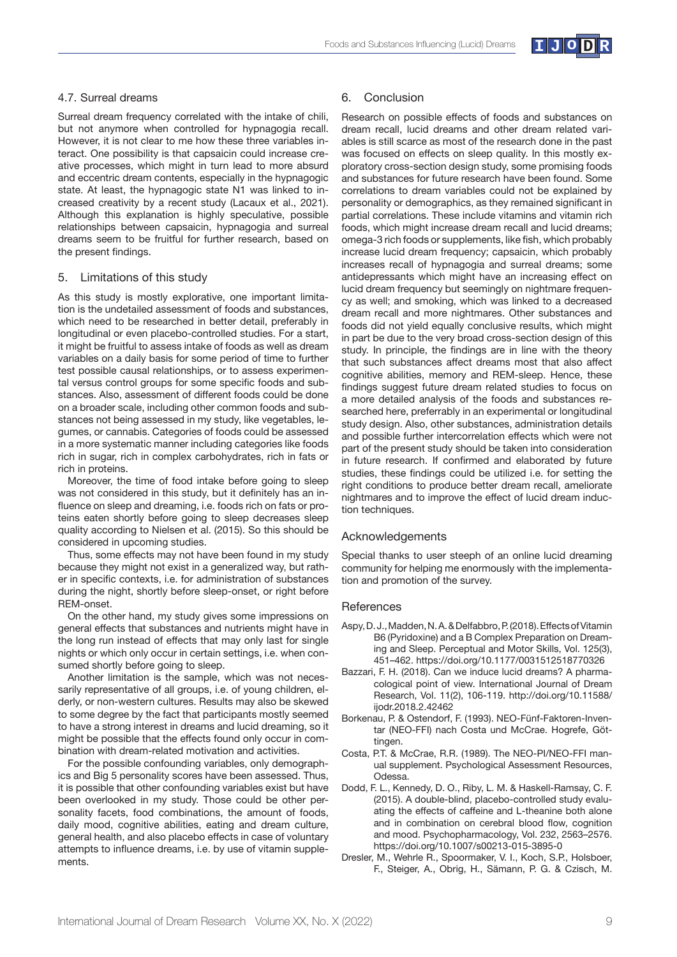

# 4.7. Surreal dreams

Surreal dream frequency correlated with the intake of chili, but not anymore when controlled for hypnagogia recall. However, it is not clear to me how these three variables interact. One possibility is that capsaicin could increase creative processes, which might in turn lead to more absurd and eccentric dream contents, especially in the hypnagogic state. At least, the hypnagogic state N1 was linked to increased creativity by a recent study (Lacaux et al., 2021). Although this explanation is highly speculative, possible relationships between capsaicin, hypnagogia and surreal dreams seem to be fruitful for further research, based on the present findings.

# 5. Limitations of this study

As this study is mostly explorative, one important limitation is the undetailed assessment of foods and substances, which need to be researched in better detail, preferably in longitudinal or even placebo-controlled studies. For a start, it might be fruitful to assess intake of foods as well as dream variables on a daily basis for some period of time to further test possible causal relationships, or to assess experimental versus control groups for some specific foods and substances. Also, assessment of different foods could be done on a broader scale, including other common foods and substances not being assessed in my study, like vegetables, legumes, or cannabis. Categories of foods could be assessed in a more systematic manner including categories like foods rich in sugar, rich in complex carbohydrates, rich in fats or rich in proteins.

Moreover, the time of food intake before going to sleep was not considered in this study, but it definitely has an influence on sleep and dreaming, i.e. foods rich on fats or proteins eaten shortly before going to sleep decreases sleep quality according to Nielsen et al. (2015). So this should be considered in upcoming studies.

Thus, some effects may not have been found in my study because they might not exist in a generalized way, but rather in specific contexts, i.e. for administration of substances during the night, shortly before sleep-onset, or right before REM-onset.

On the other hand, my study gives some impressions on general effects that substances and nutrients might have in the long run instead of effects that may only last for single nights or which only occur in certain settings, i.e. when consumed shortly before going to sleep.

Another limitation is the sample, which was not necessarily representative of all groups, i.e. of young children, elderly, or non-western cultures. Results may also be skewed to some degree by the fact that participants mostly seemed to have a strong interest in dreams and lucid dreaming, so it might be possible that the effects found only occur in combination with dream-related motivation and activities.

For the possible confounding variables, only demographics and Big 5 personality scores have been assessed. Thus, it is possible that other confounding variables exist but have been overlooked in my study. Those could be other personality facets, food combinations, the amount of foods, daily mood, cognitive abilities, eating and dream culture, general health, and also placebo effects in case of voluntary attempts to influence dreams, i.e. by use of vitamin supplements.

#### 6. Conclusion

Research on possible effects of foods and substances on dream recall, lucid dreams and other dream related variables is still scarce as most of the research done in the past was focused on effects on sleep quality. In this mostly exploratory cross-section design study, some promising foods and substances for future research have been found. Some correlations to dream variables could not be explained by personality or demographics, as they remained significant in partial correlations. These include vitamins and vitamin rich foods, which might increase dream recall and lucid dreams; omega-3 rich foods or supplements, like fish, which probably increase lucid dream frequency; capsaicin, which probably increases recall of hypnagogia and surreal dreams; some antidepressants which might have an increasing effect on lucid dream frequency but seemingly on nightmare frequency as well; and smoking, which was linked to a decreased dream recall and more nightmares. Other substances and foods did not yield equally conclusive results, which might in part be due to the very broad cross-section design of this study. In principle, the findings are in line with the theory that such substances affect dreams most that also affect cognitive abilities, memory and REM-sleep. Hence, these findings suggest future dream related studies to focus on a more detailed analysis of the foods and substances researched here, preferrably in an experimental or longitudinal study design. Also, other substances, administration details and possible further intercorrelation effects which were not part of the present study should be taken into consideration in future research. If confirmed and elaborated by future studies, these findings could be utilized i.e. for setting the right conditions to produce better dream recall, ameliorate nightmares and to improve the effect of lucid dream induction techniques.

# Acknowledgements

Special thanks to user steeph of an online lucid dreaming community for helping me enormously with the implementation and promotion of the survey.

# **References**

- Aspy, D. J., Madden, N. A. & Delfabbro, P. (2018). Effects of Vitamin B6 (Pyridoxine) and a B Complex Preparation on Dreaming and Sleep. Perceptual and Motor Skills, Vol. 125(3), 451–462. https://doi.org/10.1177/0031512518770326
- Bazzari, F. H. (2018). Can we induce lucid dreams? A pharmacological point of view. International Journal of Dream Research, Vol. 11(2), 106-119. http://doi.org/10.11588/ ijodr.2018.2.42462
- Borkenau, P. & Ostendorf, F. (1993). NEO-Fünf-Faktoren-Inventar (NEO-FFI) nach Costa und McCrae. Hogrefe, Göttingen.
- Costa, P.T. & McCrae, R.R. (1989). The NEO-PI/NEO-FFI manual supplement. Psychological Assessment Resources, Odessa.
- Dodd, F. L., Kennedy, D. O., Riby, L. M. & Haskell-Ramsay, C. F. (2015). A double-blind, placebo-controlled study evaluating the effects of caffeine and L-theanine both alone and in combination on cerebral blood flow, cognition and mood. Psychopharmacology, Vol. 232, 2563–2576. https://doi.org/10.1007/s00213-015-3895-0
- Dresler, M., Wehrle R., Spoormaker, V. I., Koch, S.P., Holsboer, F., Steiger, A., Obrig, H., Sämann, P. G. & Czisch, M.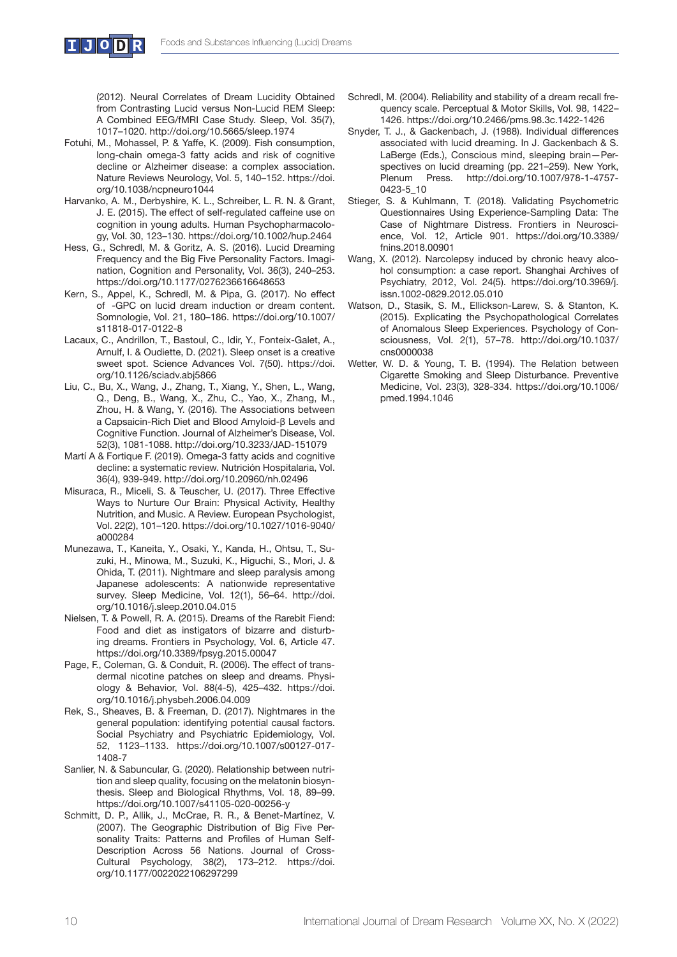

(2012). Neural Correlates of Dream Lucidity Obtained from Contrasting Lucid versus Non-Lucid REM Sleep: A Combined EEG/fMRI Case Study. Sleep, Vol. 35(7), 1017–1020. http://doi.org/10.5665/sleep.1974

- Fotuhi, M., Mohassel, P. & Yaffe, K. (2009). Fish consumption, long-chain omega-3 fatty acids and risk of cognitive decline or Alzheimer disease: a complex association. Nature Reviews Neurology, Vol. 5, 140–152. https://doi. org/10.1038/ncpneuro1044
- Harvanko, A. M., Derbyshire, K. L., Schreiber, L. R. N. & Grant, J. E. (2015). The effect of self-regulated caffeine use on cognition in young adults. Human Psychopharmacology, Vol. 30, 123–130. https://doi.org/10.1002/hup.2464
- Hess, G., Schredl, M. & Goritz, A. S. (2016). Lucid Dreaming Frequency and the Big Five Personality Factors. Imagination, Cognition and Personality, Vol. 36(3), 240–253. https://doi.org/10.1177/0276236616648653
- Kern, S., Appel, K., Schredl, M. & Pipa, G. (2017). No effect of -GPC on lucid dream induction or dream content. Somnologie, Vol. 21, 180–186. https://doi.org/10.1007/ s11818-017-0122-8
- Lacaux, C., Andrillon, T., Bastoul, C., Idir, Y., Fonteix-Galet, A., Arnulf, I. & Oudiette, D. (2021). Sleep onset is a creative sweet spot. Science Advances Vol. 7(50). https://doi. org/10.1126/sciadv.abj5866
- Liu, C., Bu, X., Wang, J., Zhang, T., Xiang, Y., Shen, L., Wang, Q., Deng, B., Wang, X., Zhu, C., Yao, X., Zhang, M., Zhou, H. & Wang, Y. (2016). The Associations between a Capsaicin-Rich Diet and Blood Amyloid-β Levels and Cognitive Function. Journal of Alzheimer's Disease, Vol. 52(3), 1081-1088. http://doi.org/10.3233/JAD-151079
- Martí A & Fortique F. (2019). Omega-3 fatty acids and cognitive decline: a systematic review. Nutrición Hospitalaria, Vol. 36(4), 939-949. http://doi.org/10.20960/nh.02496
- Misuraca, R., Miceli, S. & Teuscher, U. (2017). Three Effective Ways to Nurture Our Brain: Physical Activity, Healthy Nutrition, and Music. A Review. European Psychologist, Vol. 22(2), 101–120. https://doi.org/10.1027/1016-9040/ a000284
- Munezawa, T., Kaneita, Y., Osaki, Y., Kanda, H., Ohtsu, T., Suzuki, H., Minowa, M., Suzuki, K., Higuchi, S., Mori, J. & Ohida, T. (2011). Nightmare and sleep paralysis among Japanese adolescents: A nationwide representative survey. Sleep Medicine, Vol. 12(1), 56–64. http://doi. org/10.1016/j.sleep.2010.04.015
- Nielsen, T. & Powell, R. A. (2015). Dreams of the Rarebit Fiend: Food and diet as instigators of bizarre and disturbing dreams. Frontiers in Psychology, Vol. 6, Article 47. https://doi.org/10.3389/fpsyg.2015.00047
- Page, F., Coleman, G. & Conduit, R. (2006). The effect of transdermal nicotine patches on sleep and dreams. Physiology & Behavior, Vol. 88(4-5), 425–432. https://doi. org/10.1016/j.physbeh.2006.04.009
- Rek, S., Sheaves, B. & Freeman, D. (2017). Nightmares in the general population: identifying potential causal factors. Social Psychiatry and Psychiatric Epidemiology, Vol. 52, 1123–1133. https://doi.org/10.1007/s00127-017- 1408-7
- Sanlier, N. & Sabuncular, G. (2020). Relationship between nutrition and sleep quality, focusing on the melatonin biosynthesis. Sleep and Biological Rhythms, Vol. 18, 89–99. https://doi.org/10.1007/s41105-020-00256-y
- Schmitt, D. P., Allik, J., McCrae, R. R., & Benet-Martínez, V. (2007). The Geographic Distribution of Big Five Personality Traits: Patterns and Profiles of Human Self-Description Across 56 Nations. Journal of Cross-Cultural Psychology, 38(2), 173–212. https://doi. org/10.1177/0022022106297299
- Schredl, M. (2004). Reliability and stability of a dream recall frequency scale. Perceptual & Motor Skills, Vol. 98, 1422– 1426. https://doi.org/10.2466/pms.98.3c.1422-1426
- Snyder, T. J., & Gackenbach, J. (1988). Individual differences associated with lucid dreaming. In J. Gackenbach & S. LaBerge (Eds.), Conscious mind, sleeping brain—Perspectives on lucid dreaming (pp. 221–259). New York, Plenum Press. http://doi.org/10.1007/978-1-4757- 0423-5\_10
- Stieger, S. & Kuhlmann, T. (2018). Validating Psychometric Questionnaires Using Experience-Sampling Data: The Case of Nightmare Distress. Frontiers in Neuroscience, Vol. 12, Article 901. https://doi.org/10.3389/ fnins.2018.00901
- Wang, X. (2012). Narcolepsy induced by chronic heavy alcohol consumption: a case report. Shanghai Archives of Psychiatry, 2012, Vol. 24(5). https://doi.org/10.3969/j. issn.1002-0829.2012.05.010
- Watson, D., Stasik, S. M., Ellickson-Larew, S. & Stanton, K. (2015). Explicating the Psychopathological Correlates of Anomalous Sleep Experiences. Psychology of Consciousness, Vol. 2(1), 57–78. http://doi.org/10.1037/ cns0000038
- Wetter, W. D. & Young, T. B. (1994). The Relation between Cigarette Smoking and Sleep Disturbance. Preventive Medicine, Vol. 23(3), 328-334. https://doi.org/10.1006/ pmed.1994.1046